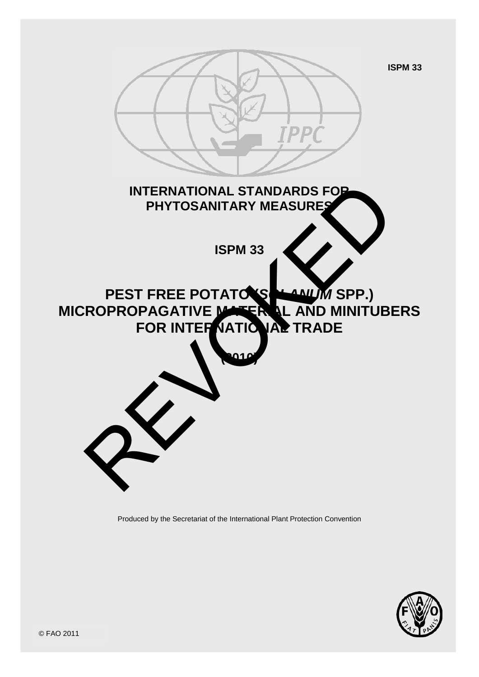

Produced by the Secretariat of the International Plant Protection Convention

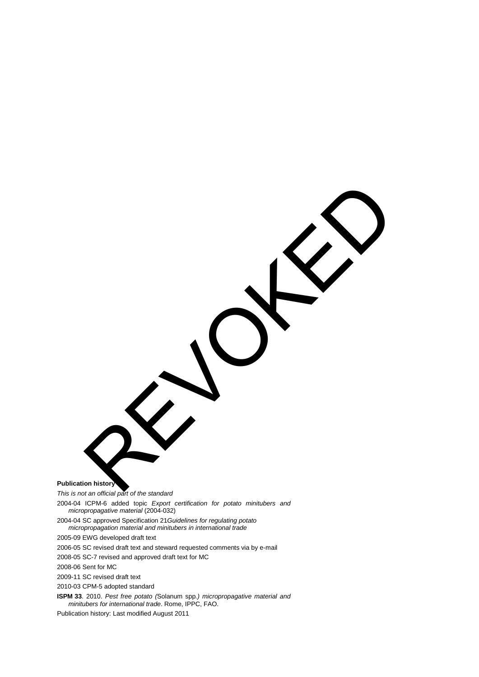**Publication history** 

*This is not an official part of the standard* REVOKED

2004-04 ICPM-6 added topic *Export certification for potato minitubers and micropropagative material* (2004-032)

2004-04 SC approved Specification 21*Guidelines for regulating potato micropropagation material and minitubers in international trade*

2005-09 EWG developed draft text

2006-05 SC revised draft text and steward requested comments via by e-mail

2008-05 SC-7 revised and approved draft text for MC

2008-06 Sent for MC

2009-11 SC revised draft text

2010-03 CPM-5 adopted standard

**ISPM 33**. 2010. *Pest free potato (*Solanum spp*.) micropropagative material and minitubers for international trade*. Rome, IPPC, FAO.

Publication history: Last modified August 2011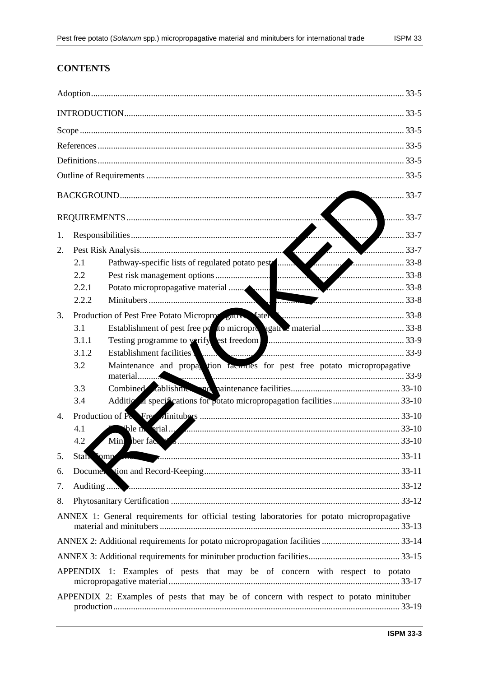# **CONTENTS**

| 33-7                                                                                        |                                                                                                                                                                                                                                                                                         |                                                                           |  |  |  |
|---------------------------------------------------------------------------------------------|-----------------------------------------------------------------------------------------------------------------------------------------------------------------------------------------------------------------------------------------------------------------------------------------|---------------------------------------------------------------------------|--|--|--|
|                                                                                             |                                                                                                                                                                                                                                                                                         |                                                                           |  |  |  |
| 1.                                                                                          |                                                                                                                                                                                                                                                                                         |                                                                           |  |  |  |
| 2.                                                                                          |                                                                                                                                                                                                                                                                                         |                                                                           |  |  |  |
|                                                                                             | 2.1                                                                                                                                                                                                                                                                                     |                                                                           |  |  |  |
|                                                                                             | $2.2\,$                                                                                                                                                                                                                                                                                 |                                                                           |  |  |  |
|                                                                                             | 2.2.1                                                                                                                                                                                                                                                                                   |                                                                           |  |  |  |
|                                                                                             | 2.2.2                                                                                                                                                                                                                                                                                   | 33-8                                                                      |  |  |  |
| 3.                                                                                          |                                                                                                                                                                                                                                                                                         | Production of Pest Free Potato Microproversaux Later Lemmanum 193-8       |  |  |  |
|                                                                                             | 3.1                                                                                                                                                                                                                                                                                     |                                                                           |  |  |  |
|                                                                                             | 3.1.1                                                                                                                                                                                                                                                                                   |                                                                           |  |  |  |
|                                                                                             | 3.1.2                                                                                                                                                                                                                                                                                   | Establishment facilities                                                  |  |  |  |
|                                                                                             | 3.2                                                                                                                                                                                                                                                                                     | Maintenance and propa tion facindes for pest free potato micropropagative |  |  |  |
|                                                                                             | 3.3                                                                                                                                                                                                                                                                                     |                                                                           |  |  |  |
|                                                                                             | 3.4                                                                                                                                                                                                                                                                                     |                                                                           |  |  |  |
| 4.                                                                                          |                                                                                                                                                                                                                                                                                         |                                                                           |  |  |  |
|                                                                                             | $\phi$ le n $\phi$ rial $\phi$ and $\phi$ and $\phi$ and $\phi$ and $\phi$ and $\phi$ and $\phi$ and $\phi$ and $\phi$ and $\phi$ and $\phi$ and $\phi$ and $\phi$ and $\phi$ and $\phi$ and $\phi$ and $\phi$ and $\phi$ and $\phi$ and $\phi$ and $\phi$ and $\phi$ and $\phi$<br>4.1 |                                                                           |  |  |  |
|                                                                                             | 4.2                                                                                                                                                                                                                                                                                     |                                                                           |  |  |  |
| 5.                                                                                          |                                                                                                                                                                                                                                                                                         | Stah omp 33-11                                                            |  |  |  |
| 6.                                                                                          |                                                                                                                                                                                                                                                                                         |                                                                           |  |  |  |
| 7.                                                                                          |                                                                                                                                                                                                                                                                                         |                                                                           |  |  |  |
| 8.                                                                                          |                                                                                                                                                                                                                                                                                         |                                                                           |  |  |  |
| ANNEX 1: General requirements for official testing laboratories for potato micropropagative |                                                                                                                                                                                                                                                                                         |                                                                           |  |  |  |
|                                                                                             |                                                                                                                                                                                                                                                                                         |                                                                           |  |  |  |
|                                                                                             |                                                                                                                                                                                                                                                                                         |                                                                           |  |  |  |
| APPENDIX 1: Examples of pests that may be of concern with respect to potato                 |                                                                                                                                                                                                                                                                                         |                                                                           |  |  |  |
| APPENDIX 2: Examples of pests that may be of concern with respect to potato minituber       |                                                                                                                                                                                                                                                                                         |                                                                           |  |  |  |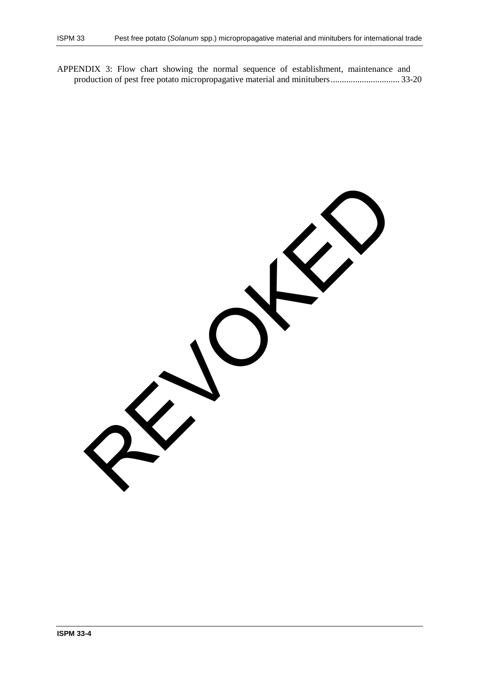APPENDIX 3: Flow chart showing the normal sequence of establishment, maintenance and production of pest free potato micropropagative material and minitubers ............................... 33-20

REVOKED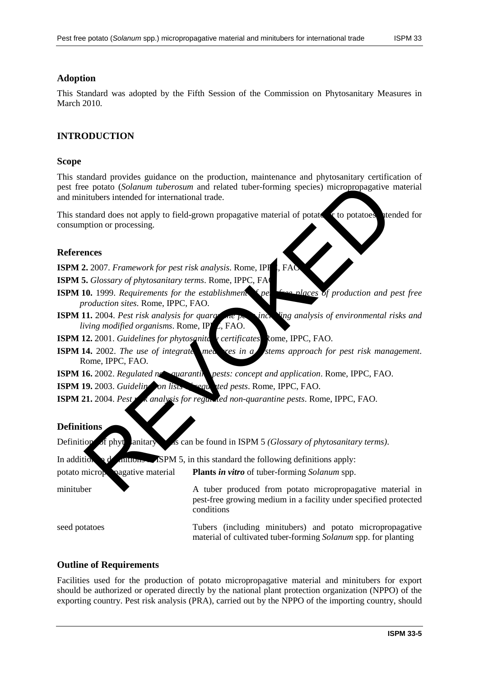## **Adoption**

This Standard was adopted by the Fifth Session of the Commission on Phytosanitary Measures in March 2010.

# **INTRODUCTION**

## **Scope**

This standard provides guidance on the production, maintenance and phytosanitary certification of pest free potato (*Solanum tuberosum* and related tuber-forming species) micropropagative material and minitubers intended for international trade. The process intended for the state of the state of the state of the content of phytosarities intended for international trade.<br>
Individues intended for international trade.<br>
Individues intended for the state of propagative

This standard does not apply to field-grown propagative material of potator or to potatoes atended for consumption or processing.

## **References**

**ISPM 2.** 2007. *Framework for pest risk analysis*. Rome, IPF

**ISPM 5.** *Glossary of phytosanitary terms*. Rome, IPPC, FA

- **ISPM 10.** 1999. *Requirements for the establishment* figures *per free places of production and pest free production sites*. Rome, IPPC, FAO.
- **ISPM 11.** 2004. *Pest risk analysis for quara* are personaly *inc.* **Ving analysis of environmental risks and** *living modified organisms.* Rome, IPPC, FAO.
- **ISPM 12.** 2001. *Guidelines for phytosanitery certificates*. Rome, IPPC, FAO.
- **ISPM 14.** 2002. *The use of integrate measures in a stems approach for pest risk management.* Rome, IPPC, FAO.

**ISPM 16.** 2002. *Regulated non-quarantine pests: concept and application*. Rome, IPPC, FAO.

**ISPM 19.** 2003. *Guideling* on lists seem and red pests. Rome, IPPC, FAO.

**ISPM 21.** 2004. *Pest risk analysis for regulated non-quarantine pests. Rome, IPPC, FAO.* 

#### **Definitions**

Definition of phytosanitary as can be found in ISPM 5 *(Glossary of phytosanitary terms)*.

In addition of definitions  $\mathcal{S}$   $\mathcal{S}$  and  $\mathcal{S}$ , in this standard the following definitions apply:

conditions

potato micropropagative material **Plants** *in vitro* of tuber-forming *Solanum* spp.

minituber A tuber produced from potato micropropagative material in

seed potatoes Tubers (including minitubers) and potato micropropagative material of cultivated tuber-forming *Solanum* spp. for planting

pest-free growing medium in a facility under specified protected

#### **Outline of Requirements**

Facilities used for the production of potato micropropagative material and minitubers for export should be authorized or operated directly by the national plant protection organization (NPPO) of the exporting country. Pest risk analysis (PRA), carried out by the NPPO of the importing country, should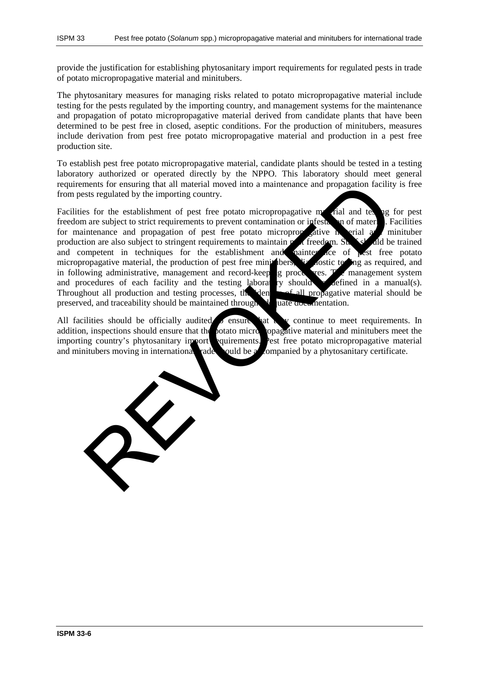provide the justification for establishing phytosanitary import requirements for regulated pests in trade of potato micropropagative material and minitubers.

The phytosanitary measures for managing risks related to potato micropropagative material include testing for the pests regulated by the importing country, and management systems for the maintenance and propagation of potato micropropagative material derived from candidate plants that have been determined to be pest free in closed, aseptic conditions. For the production of minitubers, measures include derivation from pest free potato micropropagative material and production in a pest free production site.

To establish pest free potato micropropagative material, candidate plants should be tested in a testing laboratory authorized or operated directly by the NPPO. This laboratory should meet general requirements for ensuring that all material moved into a maintenance and propagation facility is free from pests regulated by the importing country.

Facilities for the establishment of pest free potato micropropagative material and testing for pest freedom are subject to strict requirements to prevent contamination or infestation of material. Facilities for maintenance and propagation of pest free potato micropropagative material  $\alpha$  minituber production are also subject to stringent requirements to maintain  $p$  at freedom. Stated and be trained and competent in techniques for the establishment and mainter  $\alpha$  ce of pest free potato micropropagative material, the production of pest free minimizednes, the lost testing as required, and in following administrative, management and record-keep  $\alpha$  procedures. The management system and procedures of each facility and the testing laboratory should be defined in a manual(s). Throughout all production and testing processes, the identity of all propagative material should be preserved, and traceability should be maintained through  $\mathcal{A}$  uate documentation. ments for ensuing that all material moved into a maintenance and propagation facility<br>star regulated by the importing country.<br>Star for the establishment of pest free potato micropropagative means of material<br>and real are

All facilities should be officially audited  $\lambda$  ensure that they continue to meet requirements. In addition, inspections should ensure that the potato micropropagative material and minitubers meet the importing country's phytosanitary import requirements. Pest free potato micropropagative material and minitubers moving in international rade should be a companied by a phytosanitary certificate.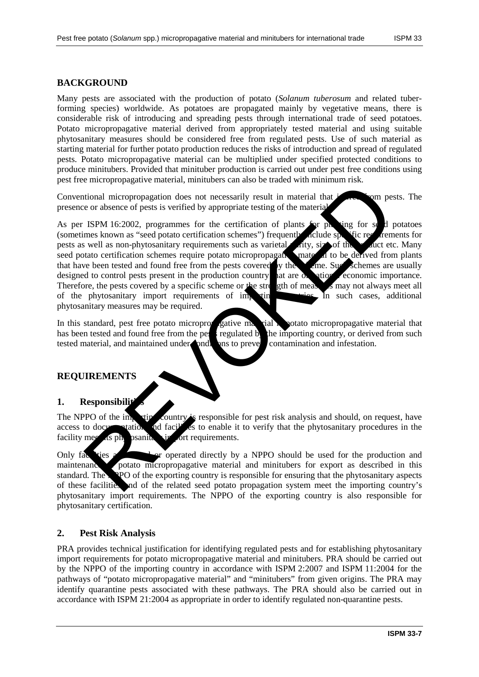# **BACKGROUND**

Many pests are associated with the production of potato (*Solanum tuberosum* and related tuberforming species) worldwide. As potatoes are propagated mainly by vegetative means, there is considerable risk of introducing and spreading pests through international trade of seed potatoes. Potato micropropagative material derived from appropriately tested material and using suitable phytosanitary measures should be considered free from regulated pests. Use of such material as starting material for further potato production reduces the risks of introduction and spread of regulated pests. Potato micropropagative material can be multiplied under specified protected conditions to produce minitubers. Provided that minituber production is carried out under pest free conditions using pest free micropropagative material, minitubers can also be traded with minimum risk.

Conventional micropropagation does not necessarily result in material that  $\frac{1}{2}$  from pests. The presence or absence of pests is verified by appropriate testing of the material.

As per ISPM 16:2002, programmes for the certification of plants for plants for seed potatoes (sometimes known as "seed potato certification schemes") frequently include specific requirements for pests as well as non-phytosanitary requirements such as varietal putty, size of the product etc. Many seed potato certification schemes require potato micropropagative material to be derived from plants that have been tested and found free from the pests covered by the scheme. Such schemes are usually designed to control pests present in the production country  $\mathbf{a}$  at are  $\alpha$  at national economic importance. Therefore, the pests covered by a specific scheme or the strength of measures may not always meet all of the phytosanitary import requirements of importing countries. In such cases, additional phytosanitary measures may be required. The method of the interaction content and minimizes are a secured the method in the control of the method of the control of the section of plants (and the method of the restriction schemes in the contribution of plants (an

In this standard, pest free potato micropropagative material is potato micropropagative material that has been tested and found free from the pests regulated by the importing country, or derived from such tested material, and maintained under conditions to prevent contamination and infestation.

#### **REQUIREMENTS**

#### 1. Responsibilit

The NPPO of the importing country is responsible for pest risk analysis and should, on request, have access to documentation and facilities to enable it to verify that the phytosanitary procedures in the facility meet is physicanitally import requirements.

Only facilities and all or operated directly by a NPPO should be used for the production and maintenance potato micropropagative material and minitubers for export as described in this standard. The NPPO of the exporting country is responsible for ensuring that the phytosanitary aspects of these facilities and of the related seed potato propagation system meet the importing country's phytosanitary import requirements. The NPPO of the exporting country is also responsible for phytosanitary certification.

## **2. Pest Risk Analysis**

PRA provides technical justification for identifying regulated pests and for establishing phytosanitary import requirements for potato micropropagative material and minitubers. PRA should be carried out by the NPPO of the importing country in accordance with ISPM 2:2007 and ISPM 11:2004 for the pathways of "potato micropropagative material" and "minitubers" from given origins. The PRA may identify quarantine pests associated with these pathways. The PRA should also be carried out in accordance with ISPM 21:2004 as appropriate in order to identify regulated non-quarantine pests.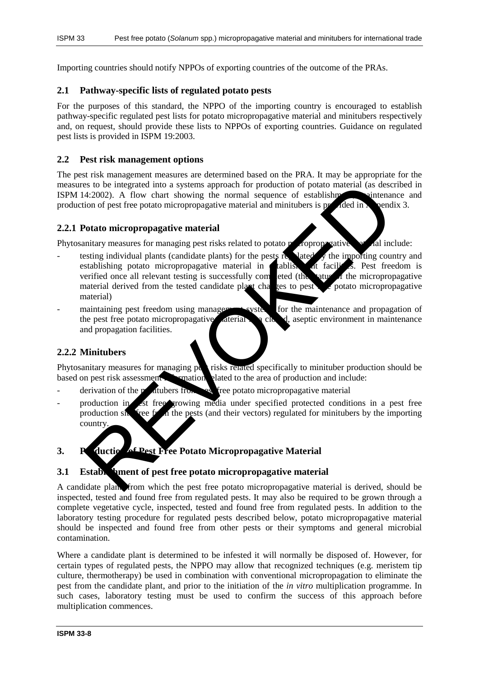Importing countries should notify NPPOs of exporting countries of the outcome of the PRAs.

#### **2.1 Pathway-specific lists of regulated potato pests**

For the purposes of this standard, the NPPO of the importing country is encouraged to establish pathway-specific regulated pest lists for potato micropropagative material and minitubers respectively and, on request, should provide these lists to NPPOs of exporting countries. Guidance on regulated pest lists is provided in ISPM 19:2003.

#### **2.2 Pest risk management options**

The pest risk management measures are determined based on the PRA. It may be appropriate for the measures to be integrated into a systems approach for production of potato material (as described in ISPM 14:2002). A flow chart showing the normal sequence of establishment, maintenance and production of pest free potato micropropagative material and minitubers is product in  $\lambda$  pendix 3.

#### **2.2.1 Potato micropropagative material**

Phytosanitary measures for managing pest risks related to potato more variable material include:

- testing individual plants (candidate plants) for the pests regulated  $\gamma$  the importing country and establishing potato micropropagative material in  $\epsilon$  ablishment facilities. Pest freedom is verified once all relevant testing is successfully completed (the status of the micropropagative material derived from the tested candidate plant changes to pest  $\blacktriangleright$  potato micropropagative material) is to be integrated into a systems approach for production of postar and (as described internal)<br>4:2002). A flow chart showing the normal sequence of establishment in the standard control of pest free potato micropropagati
- maintaining pest freedom using management systems for the maintenance and propagation of the pest free potato micropropagative  $\vec{r}$  determined in a close d, aseptic environment in maintenance and propagation facilities.

#### **2.2.2 Minitubers**

Phytosanitary measures for managing pertisks related specifically to minituber production should be based on pest risk assessments. The mation clated to the area of production and include: based on pest risk assessment in the interval related to the area of production and include:

- $\alpha$  derivation of the minitubers from pest free potato micropropagative material
- production in est free growing media under specified protected conditions in a pest free production site from the pests (and their vectors) regulated for minitubers by the importing country.

# **3.** Production of Pest Free Potato Micropropagative Material

#### **3.1 Establishment of pest free potato micropropagative material**

A candidate plant, from which the pest free potato micropropagative material is derived, should be inspected, tested and found free from regulated pests. It may also be required to be grown through a complete vegetative cycle, inspected, tested and found free from regulated pests. In addition to the laboratory testing procedure for regulated pests described below, potato micropropagative material should be inspected and found free from other pests or their symptoms and general microbial contamination.

Where a candidate plant is determined to be infested it will normally be disposed of. However, for certain types of regulated pests, the NPPO may allow that recognized techniques (e.g. meristem tip culture, thermotherapy) be used in combination with conventional micropropagation to eliminate the pest from the candidate plant, and prior to the initiation of the *in vitro* multiplication programme. In such cases, laboratory testing must be used to confirm the success of this approach before multiplication commences.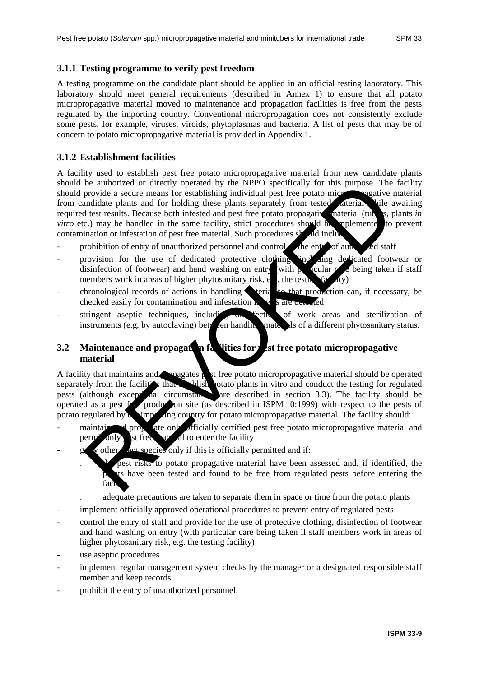## **3.1.1 Testing programme to verify pest freedom**

A testing programme on the candidate plant should be applied in an official testing laboratory. This laboratory should meet general requirements (described in Annex 1) to ensure that all potato micropropagative material moved to maintenance and propagation facilities is free from the pests regulated by the importing country. Conventional micropropagation does not consistently exclude some pests, for example, viruses, viroids, phytoplasmas and bacteria. A list of pests that may be of concern to potato micropropagative material is provided in Appendix 1.

## **3.1.2 Establishment facilities**

A facility used to establish pest free potato micropropagative material from new candidate plants should be authorized or directly operated by the NPPO specifically for this purpose. The facility should provide a secure means for establishing individual pest free potato micropropagative material from candidate plants and for holding these plants separately from tested determines while awaiting required test results. Because both infested and pest free potato propagative material (tubers, plants *in vitro* etc.) may be handled in the same facility, strict procedures should be implemented to prevent contamination or infestation of pest free material. Such procedures should inclu be a unionized or directly operated by the NPPO special operator and the summer and the special operator and the special operator in the special test results. Because both initial test results. Because the photon intervals

- prohibition of entry of unauthorized personnel and control of the entry of authorized staff
- provision for the use of dedicated protective clothing sincluding dedicated footwear or disinfection of footwear) and hand washing on entry (with particular  $\alpha$  extens taken if staff members work in areas of higher phytosanitary risk, e.g. the testing  $\frac{1}{2}$   $\frac{1}{4}$
- chronological records of actions in handling  $\triangle$  term and production can, if necessary, be checked easily for contamination and infestation  $\mathbf{r}$  are detected easily for contamination and infestation  $\mathbf{r}$
- stringent aseptic techniques, including discretive of work areas and sterilization of instruments (e.g. by autoclaving) betyeen handly materials of a different phytosanitary status.

## **3.2** Maintenance and propagation facilities for **Pest free potato micropropagative material**

A facility that maintains and propagates pest free potato micropropagative material should be operated separately from the facilities that establish potato plants in vitro and conduct the testing for regulated pests (although except nal circumstances are described in section 3.3). The facility should be operated as a pest  $f$  production site (as described in ISPM 10:1999) with respect to the pests of potato regulated by  $\lambda$  importing country for potato micropropagative material. The facility should:

- maintain and propagate only officially certified pest free potato micropropagative material and perm<sup>i</sup> only st free  $at$  al to enter the facility
	- other  $\ell$  ant species only if this is officially permitted and if:
		- pest risks to potato propagative material have been assessed and, if identified, the It have been tested and found to be free from regulated pests before entering the fac
		- . adequate precautions are taken to separate them in space or time from the potato plants
- implement officially approved operational procedures to prevent entry of regulated pests
- control the entry of staff and provide for the use of protective clothing, disinfection of footwear and hand washing on entry (with particular care being taken if staff members work in areas of higher phytosanitary risk, e.g. the testing facility)
- use aseptic procedures
- implement regular management system checks by the manager or a designated responsible staff member and keep records
- prohibit the entry of unauthorized personnel.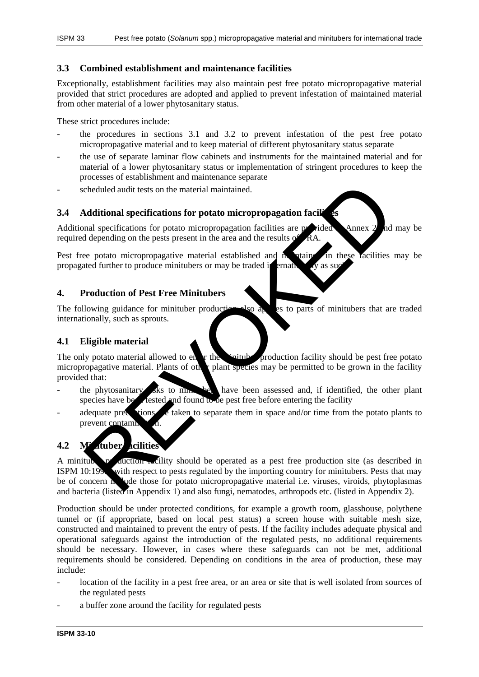## **3.3 Combined establishment and maintenance facilities**

Exceptionally, establishment facilities may also maintain pest free potato micropropagative material provided that strict procedures are adopted and applied to prevent infestation of maintained material from other material of a lower phytosanitary status.

These strict procedures include:

- the procedures in sections 3.1 and 3.2 to prevent infestation of the pest free potato micropropagative material and to keep material of different phytosanitary status separate
- the use of separate laminar flow cabinets and instruments for the maintained material and for material of a lower phytosanitary status or implementation of stringent procedures to keep the processes of establishment and maintenance separate
- scheduled audit tests on the material maintained.

## **3.4 Additional specifications for potato micropropagation facilities**

Additional specifications for potato micropropagation facilities are provided Annex 2 and may be required depending on the pests present in the area and the results

Pest free potato micropropagative material established and  $\hat{h}$  stained in these facilities may be propagated further to produce minitubers or may be traded internationally as such.

## **4. Production of Pest Free Minitubers**

The following guidance for minituber production also applies to parts of minitubers that are traded internationally, such as sprouts.

## **4.1 Eligible material**

The only potato material allowed to enter the minimizary production facility should be pest free potato micropropagative material. Plants of other plant species may be permitted to be grown in the facility provided that:

- the phytosanitary risks to  $\lim_{n\to\infty}$  have been assessed and, if identified, the other plant species have better and found to be pest free before entering the facility
- adequate precautions are taken to separate them in space and/or time from the potato plants to prevent contami

# **4.2 Minituber facilities**

A minituber production  $\alpha$  equation  $\alpha$  is a perception site (as described in ISPM  $10:199$  with respect to pests regulated by the importing country for minitubers. Pests that may be of concern in lude those for potato micropropagative material i.e. viruses, viroids, phytoplasmas and bacteria (listed in Appendix 1) and also fungi, nematodes, arthropods etc. (listed in Appendix 2). cheduled audit tests on the material maintained.<br>
Additional specifications for potato micropropagation facilities are prided and specifications for potato micropropagation facilities are prided depending on the pests pres

Production should be under protected conditions, for example a growth room, glasshouse, polythene tunnel or (if appropriate, based on local pest status) a screen house with suitable mesh size, constructed and maintained to prevent the entry of pests. If the facility includes adequate physical and operational safeguards against the introduction of the regulated pests, no additional requirements should be necessary. However, in cases where these safeguards can not be met, additional requirements should be considered. Depending on conditions in the area of production, these may include:

- location of the facility in a pest free area, or an area or site that is well isolated from sources of the regulated pests
- a buffer zone around the facility for regulated pests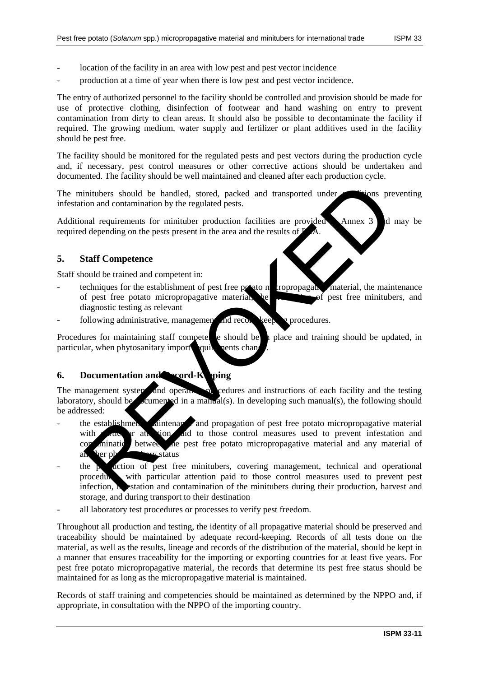- location of the facility in an area with low pest and pest vector incidence
- production at a time of year when there is low pest and pest vector incidence.

The entry of authorized personnel to the facility should be controlled and provision should be made for use of protective clothing, disinfection of footwear and hand washing on entry to prevent contamination from dirty to clean areas. It should also be possible to decontaminate the facility if required. The growing medium, water supply and fertilizer or plant additives used in the facility should be pest free.

The facility should be monitored for the regulated pests and pest vectors during the production cycle and, if necessary, pest control measures or other corrective actions should be undertaken and documented. The facility should be well maintained and cleaned after each production cycle.

The minitubers should be handled, stored, packed and transported under conditions preventing infestation and contamination by the regulated pests.

Additional requirements for minituber production facilities are provided Annex 3 d may be required depending on the pests present in the area and the results of

## **5. Staff Competence**

Staff should be trained and competent in:

- techniques for the establishment of pest free potato metropropagative material, the maintenance of pest free potato micropropagative material, he produced pest free minitubers, and diagnostic testing as relevant
- following administrative, management and record-keeping procedures.

Procedures for maintaining staff competence should be in place and training should be updated, in particular, when phytosanitary import quile nents change.

#### **6.** Documentation and **Record-Keeping**

The management system, and operation, by redures and instructions of each facility and the testing laboratory, should be  $\alpha$  cumented in a manual(s). In developing such manual(s), the following should be addressed:

- the establishment, maintenance and propagation of pest free potato micropropagative material with particular attention and to those control measures used to prevent infestation and containing between the pest free potato micropropagative material and any material of an ber phytosanitary status initiatives should be handled, stored, packed and transported under<br>
ion and contamination by the regulated pests.<br>
and requirements for minituber production facilities are provided<br>
and requirements for minituber producti
- the production of pest free minitubers, covering management, technical and operational procedures, with particular attention paid to those control measures used to prevent pest infection,  $\bf{h}$  estation and contamination of the minitubers during their production, harvest and storage, and during transport to their destination
- all laboratory test procedures or processes to verify pest freedom.

Throughout all production and testing, the identity of all propagative material should be preserved and traceability should be maintained by adequate record-keeping. Records of all tests done on the material, as well as the results, lineage and records of the distribution of the material, should be kept in a manner that ensures traceability for the importing or exporting countries for at least five years. For pest free potato micropropagative material, the records that determine its pest free status should be maintained for as long as the micropropagative material is maintained.

Records of staff training and competencies should be maintained as determined by the NPPO and, if appropriate, in consultation with the NPPO of the importing country.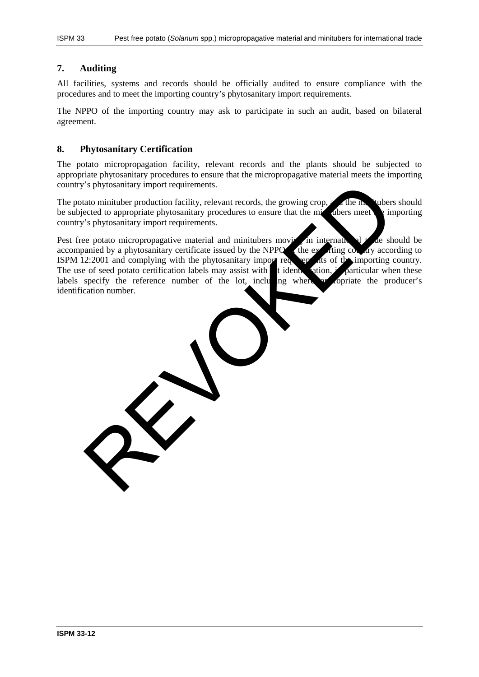## **7. Auditing**

All facilities, systems and records should be officially audited to ensure compliance with the procedures and to meet the importing country's phytosanitary import requirements.

The NPPO of the importing country may ask to participate in such an audit, based on bilateral agreement.

#### **8. Phytosanitary Certification**

The potato micropropagation facility, relevant records and the plants should be subjected to appropriate phytosanitary procedures to ensure that the micropropagative material meets the importing country's phytosanitary import requirements.

The potato minituber production facility, relevant records, the growing crop,  $\alpha$  the minitubers should be subjected to appropriate phytosanitary procedures to ensure that the minital energy the importing country's phytosanitary import requirements.

Pest free potato micropropagative material and minitubers moving in international trade should be accompanied by a phytosanitary certificate issued by the NPPO of the exporting country according to ISPM 12:2001 and complying with the phytosanitary importing to the importing country. ISPM 12:2001 and complying with the phytosanitary import red The use of seed potato certification labels may assist with  $\frac{1}{2}$  tidentification, included in particular when these labels specify the reference number of the lot, including when a copriate the producer's labels specify the reference number of the lot, including where identification number. The summary import requirements.<br>
ato minituber production facility, relevant records, the growing crop,<br>
ato minituber production facility, relevant records, the growing crop,<br>
the and the summary import requirements.<br>
Se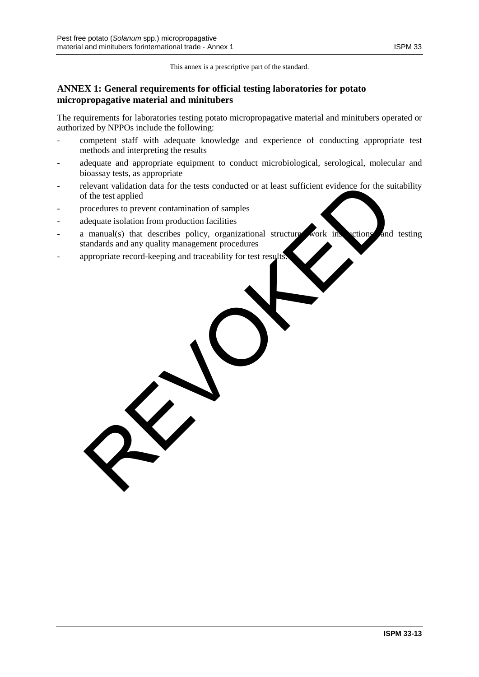This annex is a prescriptive part of the standard.

## **ANNEX 1: General requirements for official testing laboratories for potato micropropagative material and minitubers**

The requirements for laboratories testing potato micropropagative material and minitubers operated or authorized by NPPOs include the following:

- competent staff with adequate knowledge and experience of conducting appropriate test methods and interpreting the results
- adequate and appropriate equipment to conduct microbiological, serological, molecular and bioassay tests, as appropriate
- relevant validation data for the tests conducted or at least sufficient evidence for the suitability of the test applied
- procedures to prevent contamination of samples
- adequate isolation from production facilities
- a manual(s) that describes policy, organizational structure, work instructions, and testing standards and any quality management procedures Elevant validation data for the tests conducted or at least sufficient evidence for the surface<br>fifthe test applied<br>orcocedures to prevent contamination of samples<br>dequate isolation from production facilities<br>manual(s) tha
- appropriate record-keeping and traceability for test results.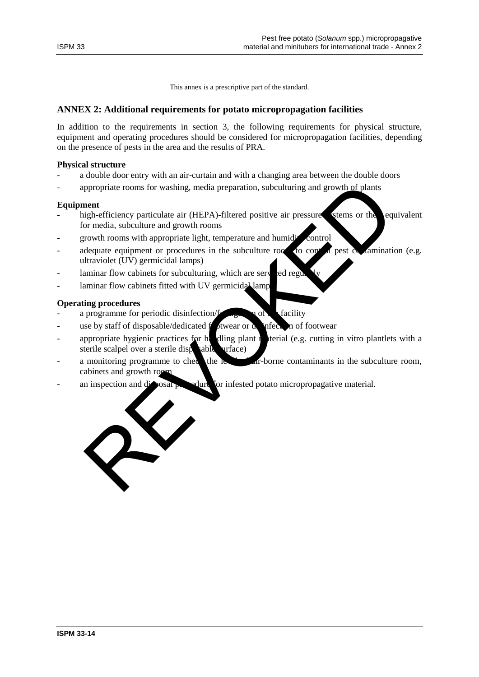This annex is a prescriptive part of the standard.

## **ANNEX 2: Additional requirements for potato micropropagation facilities**

In addition to the requirements in section 3, the following requirements for physical structure, equipment and operating procedures should be considered for micropropagation facilities, depending on the presence of pests in the area and the results of PRA.

#### **Physical structure**

- a double door entry with an air-curtain and with a changing area between the double doors
- appropriate rooms for washing, media preparation, subculturing and growth of plants

#### **Equipment**

- high-efficiency particulate air (HEPA)-filtered positive air pressure stems or the equivalent for media, subculture and growth rooms
- growth rooms with appropriate light, temperature and humidity control
- adequate equipment or procedures in the subculture room to control pest contamination (e.g. ultraviolet  $(VV)$  germicidal lamps)
- laminar flow cabinets for subculturing, which are served regularly
- laminar flow cabinets fitted with UV germicidal lamp

#### **Operating procedures**

- a programme for periodic disinfection/ $f_{\text{max}}$  of the facility
- use by staff of disposable/dedicated for twear or  $\alpha$  infection of footwear
- appropriate hygienic practices for handling plant material (e.g. cutting in vitro plantlets with a sterile scalpel over a sterile disposable surface)
- a monitoring programme to check the level of air-borne contaminants in the subculture room, cabinets and growth roo
- an inspection and disposal procedure for infested potato micropropagative material.

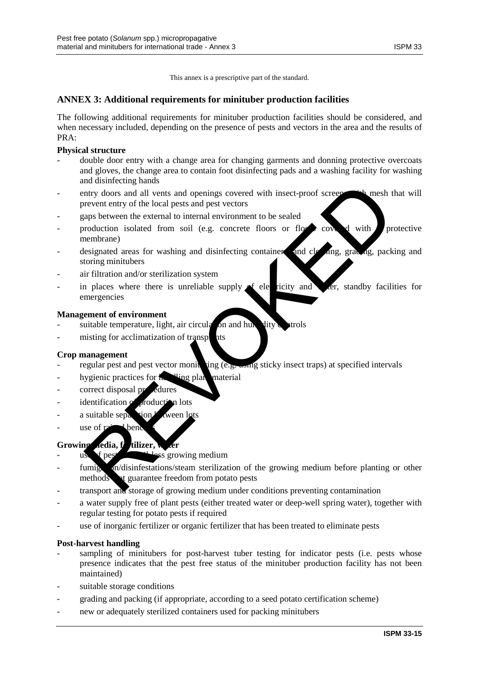This annex is a prescriptive part of the standard.

## **ANNEX 3: Additional requirements for minituber production facilities**

The following additional requirements for minituber production facilities should be considered, and when necessary included, depending on the presence of pests and vectors in the area and the results of PRA:

### **Physical structure**

- double door entry with a change area for changing garments and donning protective overcoats and gloves, the change area to contain foot disinfecting pads and a washing facility for washing and disinfecting hands
- entry doors and all vents and openings covered with insect-proof screens with mesh that will prevent entry of the local pests and pest vectors and simulations and the state of the state of the state of the state of the state of the state of the state of the state of the state of the state of the state of the state of the state of the state of the state of the sta
- gaps between the external to internal environment to be sealed
- production isolated from soil (e.g. concrete floors or floors covered with protective membrane)
- designated areas for washing and disinfecting containers, and cleaning, grading, packing and storing minitubers
- air filtration and/or sterilization system
- in places where there is unreliable supply  $\triangleleft$  electricity and water, standby facilities for emergencies

#### **Management of environment**

- suitable temperature, light, air circulation and humidity controls
- misting for acclimatization of transplants

#### **Crop management**

- regular pest and pest vector monitoring (e.g. using sticky insect traps) at specified intervals
- hygienic practices for  $\mathbf{h}$  uing plant material
- correct disposal procedures
- identification of production lots
- a suitable separation  $\lambda$  alween lots
- $-$  use of  $r^2$  ben

#### Growing media, f**ertilizer**,

- $\mu$  use of pest  $\mu$ <sup>1</sup>-less growing medium
- fumigation/disinfestations/steam sterilization of the growing medium before planting or other methods at guarantee freedom from potato pests
- transport and storage of growing medium under conditions preventing contamination
- a water supply free of plant pests (either treated water or deep-well spring water), together with regular testing for potato pests if required
- use of inorganic fertilizer or organic fertilizer that has been treated to eliminate pests

#### **Post-harvest handling**

- sampling of minitubers for post-harvest tuber testing for indicator pests (i.e. pests whose presence indicates that the pest free status of the minituber production facility has not been maintained)
- suitable storage conditions
- grading and packing (if appropriate, according to a seed potato certification scheme)
- new or adequately sterilized containers used for packing minitubers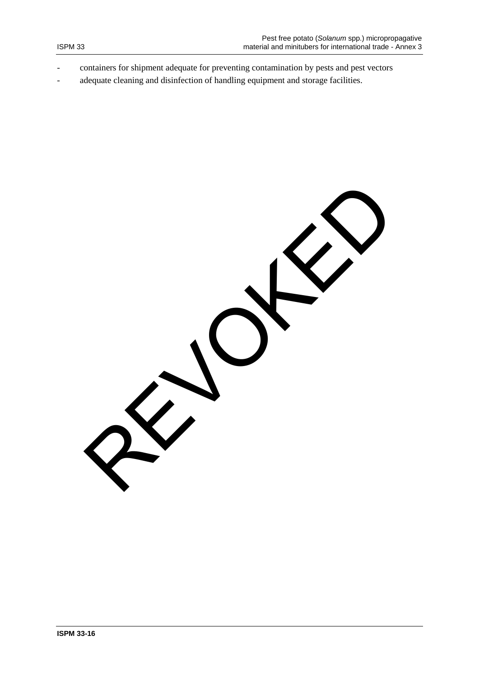- containers for shipment adequate for preventing contamination by pests and pest vectors
- adequate cleaning and disinfection of handling equipment and storage facilities.

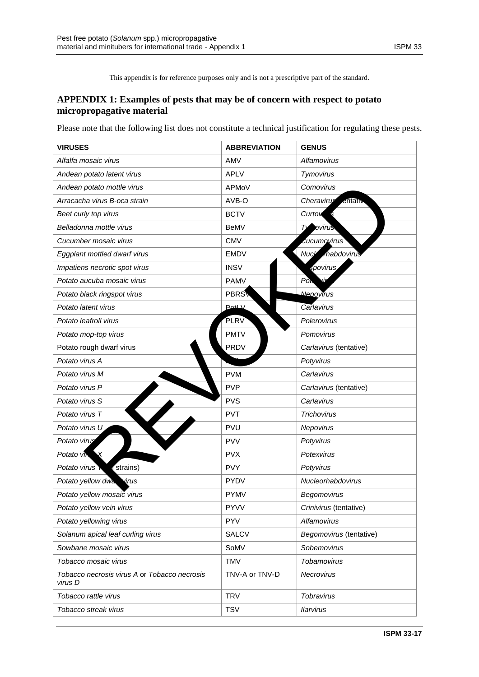This appendix is for reference purposes only and is not a prescriptive part of the standard.

# **APPENDIX 1: Examples of pests that may be of concern with respect to potato micropropagative material**

Please note that the following list does not constitute a technical justification for regulating these pests.

| <b>VIRUSES</b>                                          | <b>ABBREVIATION</b>     | <b>GENUS</b>                     |
|---------------------------------------------------------|-------------------------|----------------------------------|
| Alfalfa mosaic virus                                    | AMV                     | Alfamovirus                      |
| Andean potato latent virus                              | <b>APLV</b>             | Tymovirus                        |
| Andean potato mottle virus                              | APMoV                   | Comovirus                        |
| Arracacha virus B-oca strain                            | AVB-O                   | Cheravirus<br>.entativ           |
| Beet curly top virus                                    | <b>BCTV</b>             | Curtov <sub>s</sub>              |
| Belladonna mottle virus                                 | BeMV                    | Ty ovirus                        |
| Cucumber mosaic virus                                   | <b>CMV</b>              | <i><u><b>Cucumovirus</b></u></i> |
| Eggplant mottled dwarf virus                            | <b>EMDV</b>             | Nucle mabdovirus                 |
| Impatiens necrotic spot virus                           | <b>INSV</b>             | <i>spovirus</i>                  |
| Potato aucuba mosaic virus                              | <b>PAMV</b>             | $P_{Q}$                          |
| Potato black ringspot virus                             | <b>PBRS</b>             | Nepovirus                        |
| Potato latent virus                                     | $P_{\text{O}}$ # $\vee$ | Carlavirus                       |
| Potato leafroll virus                                   | PLRV                    | Polerovirus                      |
| Potato mop-top virus                                    | <b>PMTV</b>             | Pomovirus                        |
| Potato rough dwarf virus                                | <b>PRDV</b>             | Carlavirus (tentative)           |
| Potato virus A                                          |                         | Potyvirus                        |
| Potato virus M                                          | <b>PVM</b>              | Carlavirus                       |
| Potato virus P                                          | <b>PVP</b>              | Carlavirus (tentative)           |
| Potato virus S                                          | <b>PVS</b>              | Carlavirus                       |
| Potato virus T                                          | <b>PVT</b>              | <b>Trichovirus</b>               |
| Potato virus U                                          | <b>PVU</b>              | Nepovirus                        |
| Potato virus                                            | <b>PVV</b>              | Potyvirus                        |
| $\mathsf{X}$<br>Potato vir                              | <b>PVX</b>              | Potexvirus                       |
| Potato virus<br>strains)                                | <b>PVY</b>              | Potyvirus                        |
| Potato yellow dwa virus                                 | <b>PYDV</b>             | Nucleorhabdovirus                |
| Potato yellow mosaic virus                              | <b>PYMV</b>             | Begomovirus                      |
| Potato yellow vein virus                                | <b>PYVV</b>             | Crinivirus (tentative)           |
| Potato yellowing virus                                  | <b>PYV</b>              | Alfamovirus                      |
| Solanum apical leaf curling virus                       | <b>SALCV</b>            | Begomovirus (tentative)          |
| Sowbane mosaic virus                                    | SoMV                    | Sobemovirus                      |
| Tobacco mosaic virus                                    | <b>TMV</b>              | Tobamovirus                      |
| Tobacco necrosis virus A or Tobacco necrosis<br>virus D | TNV-A or TNV-D          | Necrovirus                       |
| Tobacco rattle virus                                    | <b>TRV</b>              | Tobravirus                       |
| Tobacco streak virus                                    | <b>TSV</b>              | <b>Ilarvirus</b>                 |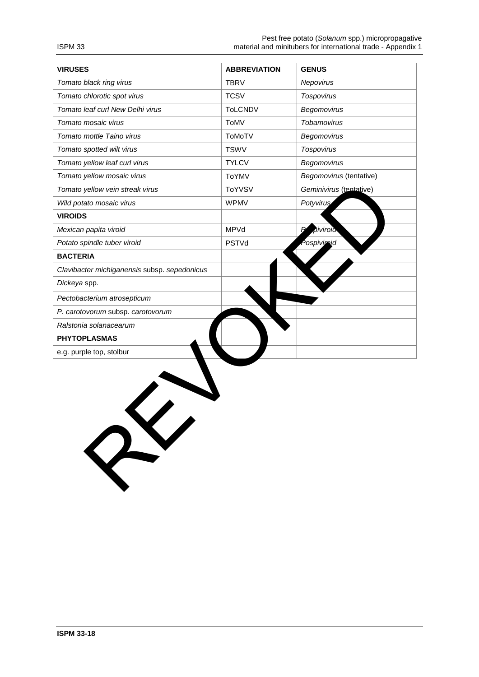| <b>VIRUSES</b>                               | <b>ABBREVIATION</b> | <b>GENUS</b>            |
|----------------------------------------------|---------------------|-------------------------|
| Tomato black ring virus                      | <b>TBRV</b>         | Nepovirus               |
| Tomato chlorotic spot virus                  | <b>TCSV</b>         | Tospovirus              |
| Tomato leaf curl New Delhi virus             | <b>ToLCNDV</b>      | Begomovirus             |
| Tomato mosaic virus                          | ToMV                | Tobamovirus             |
| Tomato mottle Taino virus                    | ToMoTV              | Begomovirus             |
| Tomato spotted wilt virus                    | <b>TSWV</b>         | Tospovirus              |
| Tomato yellow leaf curl virus                | <b>TYLCV</b>        | Begomovirus             |
| Tomato yellow mosaic virus                   | <b>ToYMV</b>        | Begomovirus (tentative) |
| Tomato yellow vein streak virus              | <b>ToYVSV</b>       | Geminivirus (tentative) |
| Wild potato mosaic virus                     | <b>WPMV</b>         | Potyvirus               |
| <b>VIROIDS</b>                               |                     |                         |
| Mexican papita viroid                        | MPVd                | piviroid                |
| Potato spindle tuber viroid                  | PSTVd               | Pospivimid              |
| <b>BACTERIA</b>                              |                     |                         |
| Clavibacter michiganensis subsp. sepedonicus |                     |                         |
| Dickeya spp.                                 |                     |                         |
| Pectobacterium atrosepticum                  |                     |                         |
| P. carotovorum subsp. carotovorum            |                     |                         |
| Ralstonia solanacearum                       |                     |                         |
| <b>PHYTOPLASMAS</b>                          |                     |                         |
| e.g. purple top, stolbur                     |                     |                         |
| RY                                           |                     |                         |

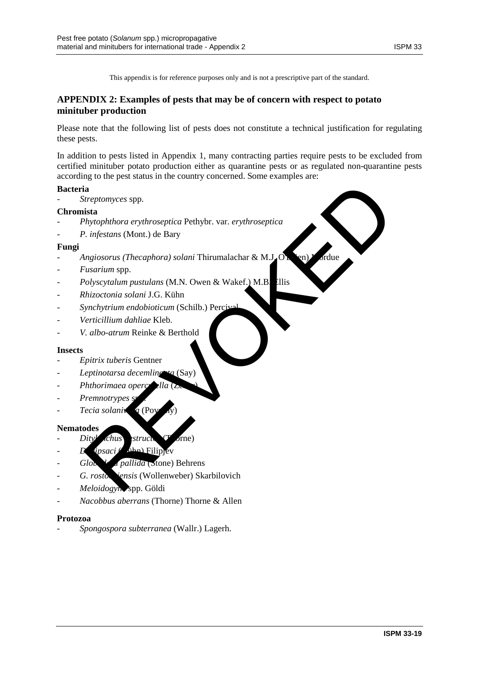This appendix is for reference purposes only and is not a prescriptive part of the standard.

## **APPENDIX 2: Examples of pests that may be of concern with respect to potato minituber production**

Please note that the following list of pests does not constitute a technical justification for regulating these pests.

In addition to pests listed in Appendix 1, many contracting parties require pests to be excluded from certified minituber potato production either as quarantine pests or as regulated non-quarantine pests according to the pest status in the country concerned. Some examples are:

#### **Bacteria**

- *Streptomyces* spp.

#### **Chromista**

- *Phytophthora erythroseptica* Pethybr. var. *erythroseptica*
- P. *infestans* (Mont.) de Bary

#### **Fungi**

- Angiosorus (Thecaphora) solani Thirumalachar & M.J.O. ia<br>
ista<br>
ista<br>
ista<br>
ista<br>
ista<br>
ista<br>
ista<br>
ista<br>
ista<br>
ista<br>
ista<br>
ista<br>
ista<br>
ista<br>
ista<br>
ista<br>
ista<br>
ista<br>
istance is a<br>
internal solar in Thirumalachar & M.B<br>
istance is a<br>
istance is a<br>
istance is denoted in Califor
- *Fusarium* spp.
- *Polyscytalum pustulans* (M.N. Owen & Wakef.) M.B. Ellis
- *Rhizoctonia solani* J.G. Kühn
- *Synchytrium endobioticum* (Schilb.) Percival
- *Verticillium dahliae* Kleb.
- *V. albo-atrum* Reinke & Berthold

#### **Insects**

- *Epitrix tuberis* Gentner
- Leptinotarsa decemling<sub>ta</sub> (Say)
- *Phthorimaea operc*
- Premnotrypes<sup>s</sup>
- *Tecia solaniva* (Po

#### **Nematodes**

- *Dityl chus* structor (Thorne)
- $D$   $q$ *ipsaci* ( $k$ ihn) Filip
- Globodera pallida (Stone) Behrens
- G. rostochiensis (Wollenweber) Skarbilovich
- *Meloidogyne* spp. Göldi
- *Nacobbus aberrans* (Thorne) Thorne & Allen

#### **Protozoa**

- *Spongospora subterranea* (Wallr.) Lagerh.